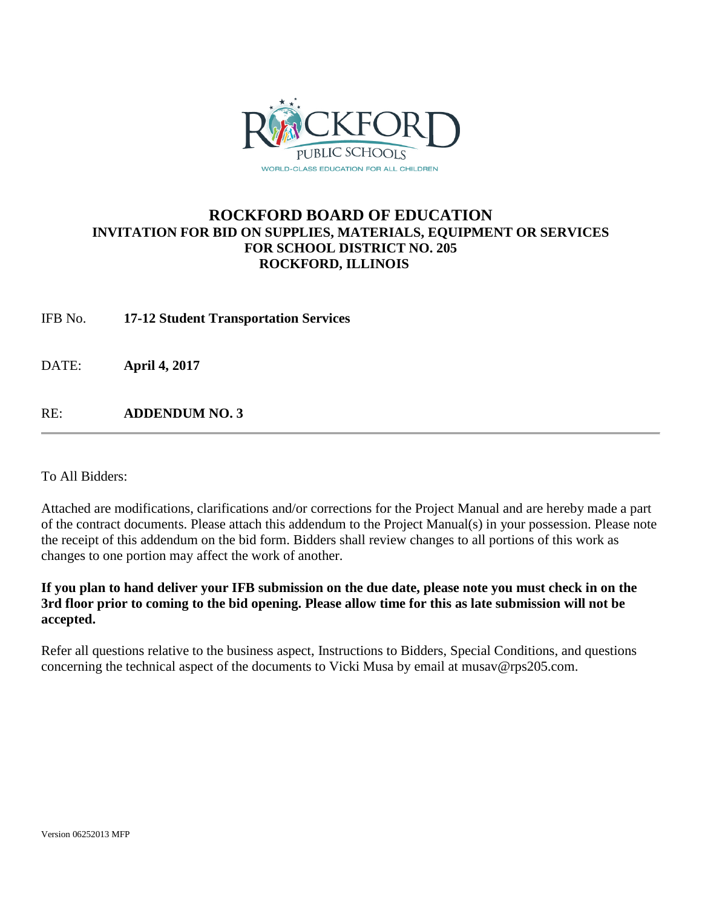

## **ROCKFORD BOARD OF EDUCATION INVITATION FOR BID ON SUPPLIES, MATERIALS, EQUIPMENT OR SERVICES FOR SCHOOL DISTRICT NO. 205 ROCKFORD, ILLINOIS**

IFB No. **17-12 Student Transportation Services**

DATE: **April 4, 2017**

RE: **ADDENDUM NO. 3**

To All Bidders:

Attached are modifications, clarifications and/or corrections for the Project Manual and are hereby made a part of the contract documents. Please attach this addendum to the Project Manual(s) in your possession. Please note the receipt of this addendum on the bid form. Bidders shall review changes to all portions of this work as changes to one portion may affect the work of another.

**If you plan to hand deliver your IFB submission on the due date, please note you must check in on the 3rd floor prior to coming to the bid opening. Please allow time for this as late submission will not be accepted.**

Refer all questions relative to the business aspect, Instructions to Bidders, Special Conditions, and questions concerning the technical aspect of the documents to Vicki Musa by email at musav@rps205.com.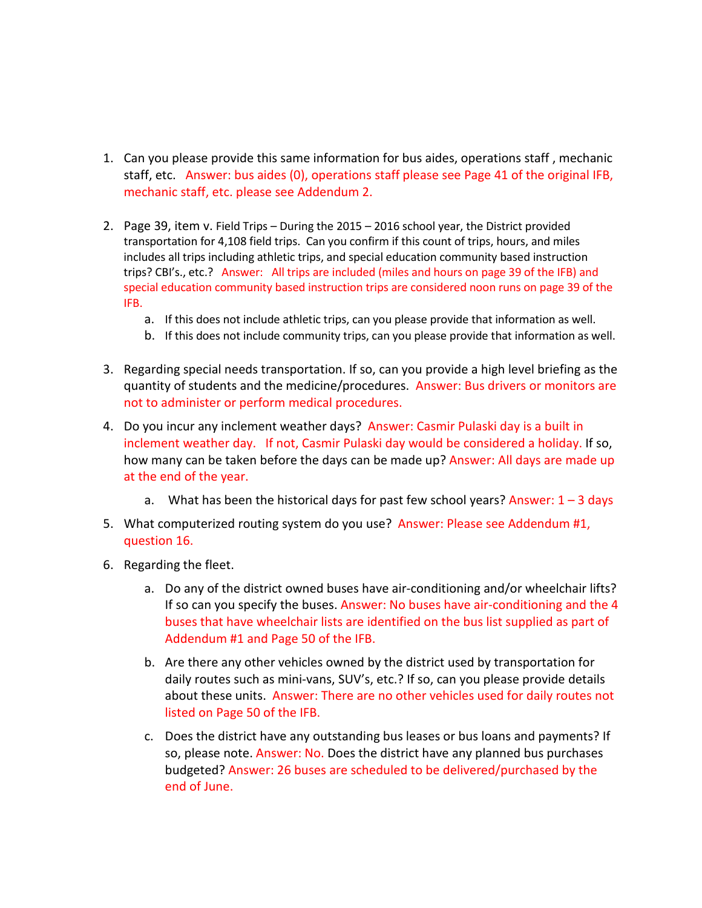- 1. Can you please provide this same information for bus aides, operations staff , mechanic staff, etc. Answer: bus aides (0), operations staff please see Page 41 of the original IFB, mechanic staff, etc. please see Addendum 2.
- 2. Page 39, item v. Field Trips During the 2015 2016 school year, the District provided transportation for 4,108 field trips. Can you confirm if this count of trips, hours, and miles includes all trips including athletic trips, and special education community based instruction trips? CBI's., etc.? Answer: All trips are included (miles and hours on page 39 of the IFB) and special education community based instruction trips are considered noon runs on page 39 of the IFB.
	- a. If this does not include athletic trips, can you please provide that information as well.
	- b. If this does not include community trips, can you please provide that information as well.
- 3. Regarding special needs transportation. If so, can you provide a high level briefing as the quantity of students and the medicine/procedures. Answer: Bus drivers or monitors are not to administer or perform medical procedures.
- 4. Do you incur any inclement weather days? Answer: Casmir Pulaski day is a built in inclement weather day. If not, Casmir Pulaski day would be considered a holiday. If so, how many can be taken before the days can be made up? Answer: All days are made up at the end of the year.
	- a. What has been the historical days for past few school years? Answer:  $1 3$  days
- 5. What computerized routing system do you use? Answer: Please see Addendum #1, question 16.
- 6. Regarding the fleet.
	- a. Do any of the district owned buses have air-conditioning and/or wheelchair lifts? If so can you specify the buses. Answer: No buses have air-conditioning and the 4 buses that have wheelchair lists are identified on the bus list supplied as part of Addendum #1 and Page 50 of the IFB.
	- b. Are there any other vehicles owned by the district used by transportation for daily routes such as mini-vans, SUV's, etc.? If so, can you please provide details about these units. Answer: There are no other vehicles used for daily routes not listed on Page 50 of the IFB.
	- c. Does the district have any outstanding bus leases or bus loans and payments? If so, please note. Answer: No. Does the district have any planned bus purchases budgeted? Answer: 26 buses are scheduled to be delivered/purchased by the end of June.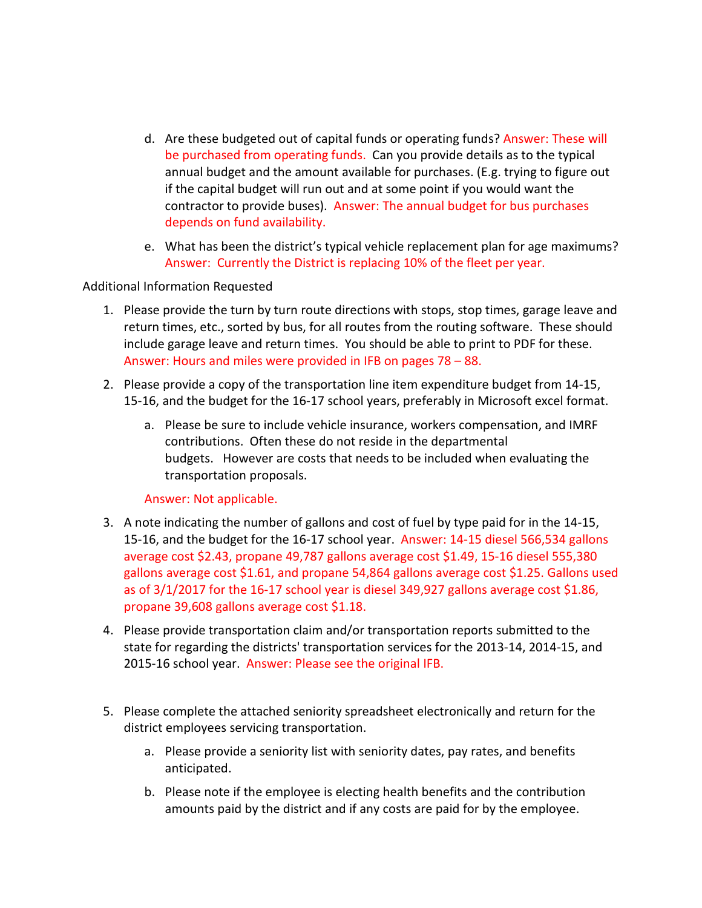- d. Are these budgeted out of capital funds or operating funds? Answer: These will be purchased from operating funds. Can you provide details as to the typical annual budget and the amount available for purchases. (E.g. trying to figure out if the capital budget will run out and at some point if you would want the contractor to provide buses). Answer: The annual budget for bus purchases depends on fund availability.
- e. What has been the district's typical vehicle replacement plan for age maximums? Answer: Currently the District is replacing 10% of the fleet per year.

## Additional Information Requested

- 1. Please provide the turn by turn route directions with stops, stop times, garage leave and return times, etc., sorted by bus, for all routes from the routing software. These should include garage leave and return times. You should be able to print to PDF for these. Answer: Hours and miles were provided in IFB on pages 78 – 88.
- 2. Please provide a copy of the transportation line item expenditure budget from 14-15, 15-16, and the budget for the 16-17 school years, preferably in Microsoft excel format.
	- a. Please be sure to include vehicle insurance, workers compensation, and IMRF contributions. Often these do not reside in the departmental budgets. However are costs that needs to be included when evaluating the transportation proposals.

## Answer: Not applicable.

- 3. A note indicating the number of gallons and cost of fuel by type paid for in the 14-15, 15-16, and the budget for the 16-17 school year. Answer: 14-15 diesel 566,534 gallons average cost \$2.43, propane 49,787 gallons average cost \$1.49, 15-16 diesel 555,380 gallons average cost \$1.61, and propane 54,864 gallons average cost \$1.25. Gallons used as of 3/1/2017 for the 16-17 school year is diesel 349,927 gallons average cost \$1.86, propane 39,608 gallons average cost \$1.18.
- 4. Please provide transportation claim and/or transportation reports submitted to the state for regarding the districts' transportation services for the 2013-14, 2014-15, and 2015-16 school year. Answer: Please see the original IFB.
- 5. Please complete the attached seniority spreadsheet electronically and return for the district employees servicing transportation.
	- a. Please provide a seniority list with seniority dates, pay rates, and benefits anticipated.
	- b. Please note if the employee is electing health benefits and the contribution amounts paid by the district and if any costs are paid for by the employee.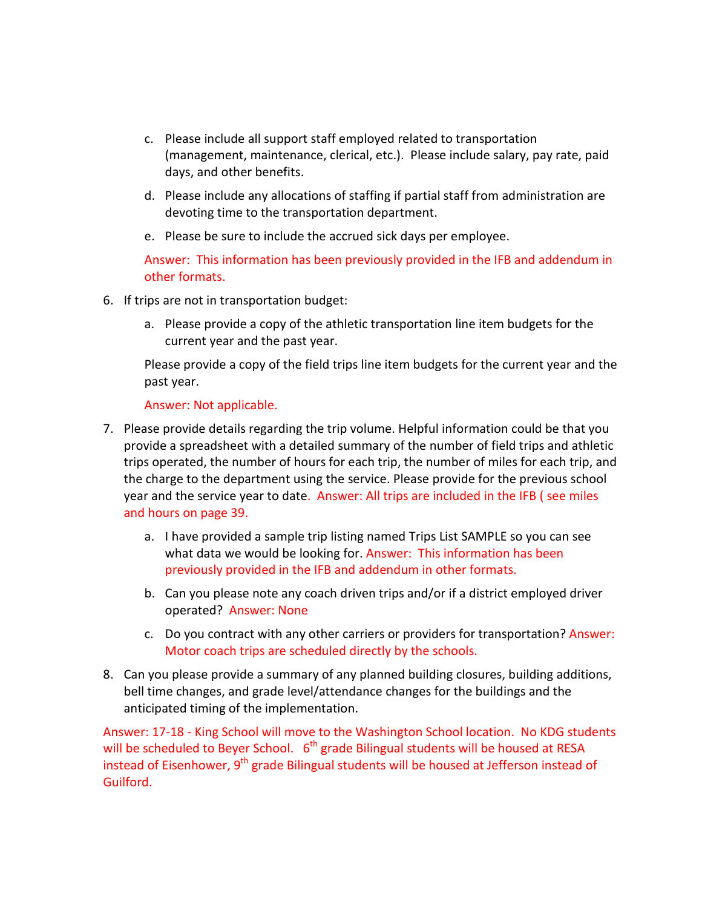- c. Please include all support staff employed related to transportation (management, maintenance, clerical, etc.). Please include salary, pay rate, paid days, and other benefits.
- d. Please include any allocations of staffing if partial staff from administration are devoting time to the transportation department.
- e. Please be sure to include the accrued sick days per employee.

Answer: This information has been previously provided in the IFB and addendum in other formats.

- 6. If trips are not in transportation budget:
	- a. Please provide a copy of the athletic transportation line item budgets for the current year and the past year.

Please provide a copy of the field trips line item budgets for the current year and the past year.

Answer: Not applicable.

- 7. Please provide details regarding the trip volume. Helpful information could be that you provide a spreadsheet with a detailed summary of the number of field trips and athletic trips operated, the number of hours for each trip, the number of miles for each trip, and the charge to the department using the service. Please provide for the previous school year and the service year to date. Answer: All trips are included in the IFB ( see miles and hours on page 39.
	- a. I have provided a sample trip listing named Trips List SAMPLE so you can see what data we would be looking for. Answer: This information has been previously provided in the IFB and addendum in other formats.
	- b. Can you please note any coach driven trips and/or if a district employed driver operated? Answer: None
	- c. Do you contract with any other carriers or providers for transportation? Answer: Motor coach trips are scheduled directly by the schools.
- 8. Can you please provide a summary of any planned building closures, building additions, bell time changes, and grade level/attendance changes for the buildings and the anticipated timing of the implementation.

Answer: 17-18 - King School will move to the Washington School location. No KDG students will be scheduled to Beyer School.  $6<sup>th</sup>$  grade Bilingual students will be housed at RESA instead of Eisenhower,  $9<sup>th</sup>$  grade Bilingual students will be housed at Jefferson instead of Guilford.